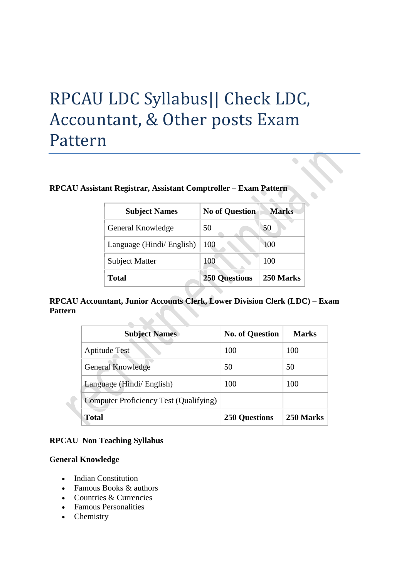# RPCAU LDC Syllabus|| Check LDC, Accountant, & Other posts Exam Pattern

#### **RPCAU Assistant Registrar, Assistant Comptroller – Exam Pattern**

| <b>Subject Names</b>      | <b>No of Question</b> | <b>Marks</b> |
|---------------------------|-----------------------|--------------|
| General Knowledge         | 50                    | 50           |
| Language (Hindi/ English) | 100                   | 100          |
| <b>Subject Matter</b>     | 100                   | 100          |
| <b>Total</b>              | <b>250 Questions</b>  | 250 Marks    |

 $\bullet$ 

# **RPCAU Accountant, Junior Accounts Clerk, Lower Division Clerk (LDC) – Exam Pattern**

| <b>Subject Names</b>                   | <b>No. of Question</b> | <b>Marks</b> |
|----------------------------------------|------------------------|--------------|
| <b>Aptitude Test</b>                   | 100                    | 100          |
| <b>General Knowledge</b>               | 50                     | 50           |
| Language (Hindi/ English)              | 100                    | 100          |
| Computer Proficiency Test (Qualifying) |                        |              |
| <b>Total</b>                           | <b>250 Questions</b>   | 250 Marks    |

### **RPCAU Non Teaching Syllabus**

### **General Knowledge**

- Indian Constitution
- Famous Books & authors
- Countries & Currencies
- Famous Personalities
- Chemistry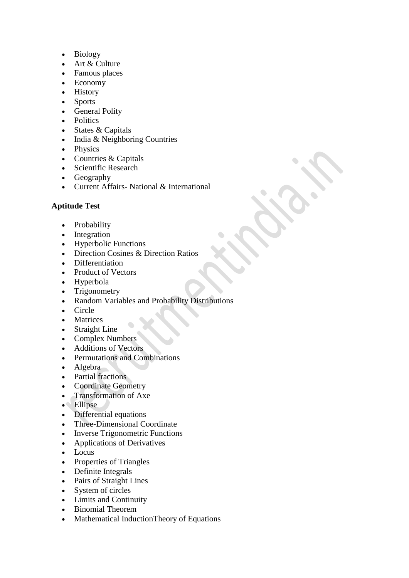- Biology
- Art & Culture
- Famous places
- Economy
- History
- Sports
- General Polity
- Politics
- States & Capitals
- $\bullet$  India & Neighboring Countries
- Physics
- Countries & Capitals
- Scientific Research
- Geography
- Current Affairs- National & International

# **Aptitude Test**

- Probability
- Integration
- Hyperbolic Functions
- Direction Cosines & Direction Ratios
- Differentiation
- Product of Vectors
- Hyperbola
- Trigonometry
- Random Variables and Probability Distributions
- Circle
- Matrices
- Straight Line
- Complex Numbers
- Additions of Vectors
- Permutations and Combinations
- Algebra
- Partial fractions
- Coordinate Geometry
- Transformation of Axe
- Ellipse
- Differential equations
- Three-Dimensional Coordinate
- Inverse Trigonometric Functions
- Applications of Derivatives
- Locus
- Properties of Triangles
- Definite Integrals
- Pairs of Straight Lines
- System of circles
- Limits and Continuity
- Binomial Theorem
- Mathematical InductionTheory of Equations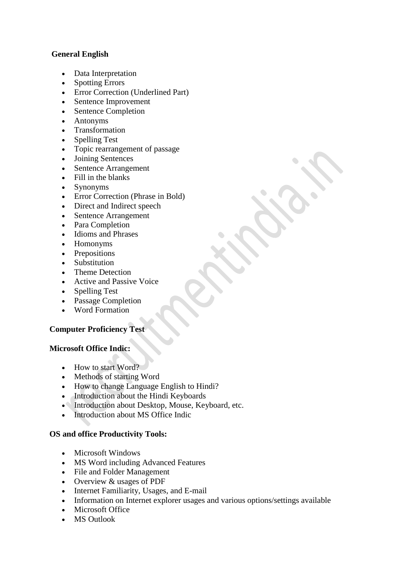## **General English**

- Data Interpretation
- Spotting Errors
- Error Correction (Underlined Part)
- Sentence Improvement
- Sentence Completion
- Antonyms
- Transformation
- Spelling Test
- Topic rearrangement of passage
- Joining Sentences
- Sentence Arrangement
- Fill in the blanks
- Synonyms
- Error Correction (Phrase in Bold)
- Direct and Indirect speech
- Sentence Arrangement
- Para Completion
- Idioms and Phrases
- Homonyms
- Prepositions
- Substitution
- Theme Detection
- Active and Passive Voice
- Spelling Test
- Passage Completion
- Word Formation

## **Computer Proficiency Test**

#### **Microsoft Office Indic:**

- How to start Word?
- Methods of starting Word
- How to change Language English to Hindi?
- Introduction about the Hindi Keyboards
- Introduction about Desktop, Mouse, Keyboard, etc.
- Introduction about MS Office Indic

#### **OS and office Productivity Tools:**

- Microsoft Windows
- MS Word including Advanced Features
- File and Folder Management
- Overview & usages of PDF
- Internet Familiarity, Usages, and E-mail
- Information on Internet explorer usages and various options/settings available
- Microsoft Office
- MS Outlook